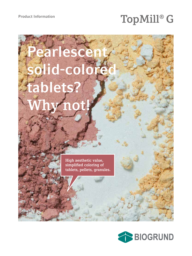# Product Information<br> **TopMill® G**

# earlesce olid-col **tablets? Why not!**

**High aesthetic value, simplified coloring of tablets, pellets, granules.**